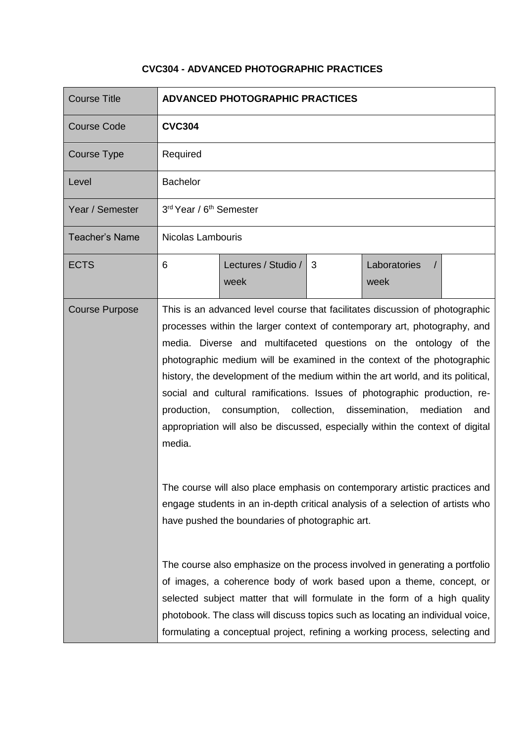## **CVC304 - ADVANCED PHOTOGRAPHIC PRACTICES**

| <b>Course Title</b>   |                                                                                                                                                                                                                                                                                                                                                                                                                                                                                                                                                                                                                                                                                                                                  | <b>ADVANCED PHOTOGRAPHIC PRACTICES</b>                                                                                                                                                                                                                                                                                                                                                           |   |                                    |  |
|-----------------------|----------------------------------------------------------------------------------------------------------------------------------------------------------------------------------------------------------------------------------------------------------------------------------------------------------------------------------------------------------------------------------------------------------------------------------------------------------------------------------------------------------------------------------------------------------------------------------------------------------------------------------------------------------------------------------------------------------------------------------|--------------------------------------------------------------------------------------------------------------------------------------------------------------------------------------------------------------------------------------------------------------------------------------------------------------------------------------------------------------------------------------------------|---|------------------------------------|--|
| <b>Course Code</b>    | <b>CVC304</b>                                                                                                                                                                                                                                                                                                                                                                                                                                                                                                                                                                                                                                                                                                                    |                                                                                                                                                                                                                                                                                                                                                                                                  |   |                                    |  |
| <b>Course Type</b>    | Required                                                                                                                                                                                                                                                                                                                                                                                                                                                                                                                                                                                                                                                                                                                         |                                                                                                                                                                                                                                                                                                                                                                                                  |   |                                    |  |
| Level                 | <b>Bachelor</b>                                                                                                                                                                                                                                                                                                                                                                                                                                                                                                                                                                                                                                                                                                                  |                                                                                                                                                                                                                                                                                                                                                                                                  |   |                                    |  |
| Year / Semester       | 3rd Year / 6 <sup>th</sup> Semester                                                                                                                                                                                                                                                                                                                                                                                                                                                                                                                                                                                                                                                                                              |                                                                                                                                                                                                                                                                                                                                                                                                  |   |                                    |  |
| <b>Teacher's Name</b> | Nicolas Lambouris                                                                                                                                                                                                                                                                                                                                                                                                                                                                                                                                                                                                                                                                                                                |                                                                                                                                                                                                                                                                                                                                                                                                  |   |                                    |  |
| <b>ECTS</b>           | 6                                                                                                                                                                                                                                                                                                                                                                                                                                                                                                                                                                                                                                                                                                                                | Lectures / Studio /<br>week                                                                                                                                                                                                                                                                                                                                                                      | 3 | Laboratories<br>$\sqrt{ }$<br>week |  |
| <b>Course Purpose</b> | This is an advanced level course that facilitates discussion of photographic<br>processes within the larger context of contemporary art, photography, and<br>media. Diverse and multifaceted questions on the ontology of the<br>photographic medium will be examined in the context of the photographic<br>history, the development of the medium within the art world, and its political,<br>social and cultural ramifications. Issues of photographic production, re-<br>consumption, collection, dissemination,<br>mediation<br>production,<br>and<br>appropriation will also be discussed, especially within the context of digital<br>media.<br>The course will also place emphasis on contemporary artistic practices and |                                                                                                                                                                                                                                                                                                                                                                                                  |   |                                    |  |
|                       | engage students in an in-depth critical analysis of a selection of artists who<br>have pushed the boundaries of photographic art.                                                                                                                                                                                                                                                                                                                                                                                                                                                                                                                                                                                                |                                                                                                                                                                                                                                                                                                                                                                                                  |   |                                    |  |
|                       |                                                                                                                                                                                                                                                                                                                                                                                                                                                                                                                                                                                                                                                                                                                                  | The course also emphasize on the process involved in generating a portfolio<br>of images, a coherence body of work based upon a theme, concept, or<br>selected subject matter that will formulate in the form of a high quality<br>photobook. The class will discuss topics such as locating an individual voice,<br>formulating a conceptual project, refining a working process, selecting and |   |                                    |  |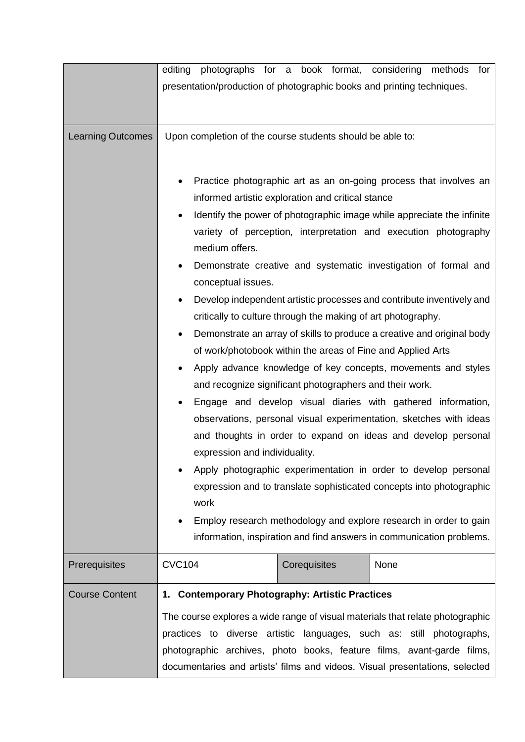|                          | editing photographs for a book format, considering methods for<br>presentation/production of photographic books and printing techniques.                                                                                                                                                                                                                                                                                                                                                                                                                                                                                                                                                                                                                                                                                                                                                                                                                                                                                                                                                                                                                                                                                                                               |  |
|--------------------------|------------------------------------------------------------------------------------------------------------------------------------------------------------------------------------------------------------------------------------------------------------------------------------------------------------------------------------------------------------------------------------------------------------------------------------------------------------------------------------------------------------------------------------------------------------------------------------------------------------------------------------------------------------------------------------------------------------------------------------------------------------------------------------------------------------------------------------------------------------------------------------------------------------------------------------------------------------------------------------------------------------------------------------------------------------------------------------------------------------------------------------------------------------------------------------------------------------------------------------------------------------------------|--|
| <b>Learning Outcomes</b> | Upon completion of the course students should be able to:<br>Practice photographic art as an on-going process that involves an<br>٠<br>informed artistic exploration and critical stance<br>Identify the power of photographic image while appreciate the infinite<br>variety of perception, interpretation and execution photography<br>medium offers.<br>Demonstrate creative and systematic investigation of formal and<br>conceptual issues.<br>Develop independent artistic processes and contribute inventively and<br>critically to culture through the making of art photography.<br>Demonstrate an array of skills to produce a creative and original body<br>$\bullet$<br>of work/photobook within the areas of Fine and Applied Arts<br>Apply advance knowledge of key concepts, movements and styles<br>and recognize significant photographers and their work.<br>Engage and develop visual diaries with gathered information,<br>observations, personal visual experimentation, sketches with ideas<br>and thoughts in order to expand on ideas and develop personal<br>expression and individuality.<br>Apply photographic experimentation in order to develop personal<br>expression and to translate sophisticated concepts into photographic<br>work |  |
|                          | Employ research methodology and explore research in order to gain<br>information, inspiration and find answers in communication problems.                                                                                                                                                                                                                                                                                                                                                                                                                                                                                                                                                                                                                                                                                                                                                                                                                                                                                                                                                                                                                                                                                                                              |  |
| Prerequisites            | <b>CVC104</b><br>Corequisites<br>None                                                                                                                                                                                                                                                                                                                                                                                                                                                                                                                                                                                                                                                                                                                                                                                                                                                                                                                                                                                                                                                                                                                                                                                                                                  |  |
| <b>Course Content</b>    | 1. Contemporary Photography: Artistic Practices<br>The course explores a wide range of visual materials that relate photographic<br>practices to diverse artistic languages, such as: still photographs,<br>photographic archives, photo books, feature films, avant-garde films,<br>documentaries and artists' films and videos. Visual presentations, selected                                                                                                                                                                                                                                                                                                                                                                                                                                                                                                                                                                                                                                                                                                                                                                                                                                                                                                       |  |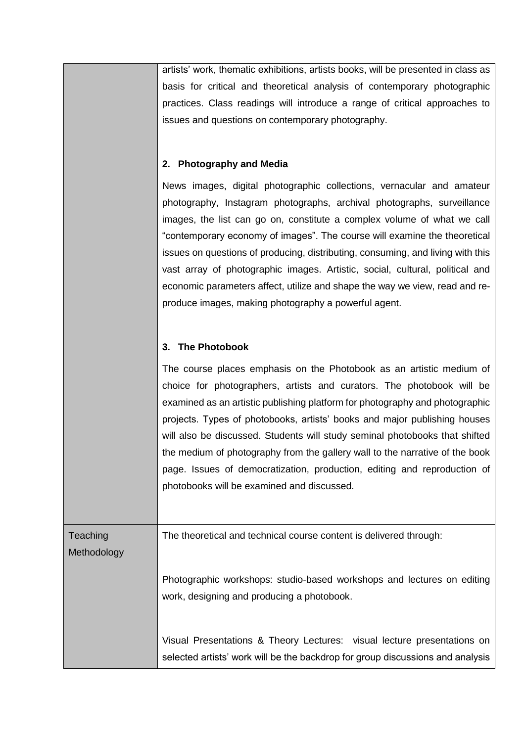artists' work, thematic exhibitions, artists books, will be presented in class as basis for critical and theoretical analysis of contemporary photographic practices. Class readings will introduce a range of critical approaches to issues and questions on contemporary photography.

## **2. Photography and Media**

News images, digital photographic collections, vernacular and amateur photography, Instagram photographs, archival photographs, surveillance images, the list can go on, constitute a complex volume of what we call "contemporary economy of images". The course will examine the theoretical issues on questions of producing, distributing, consuming, and living with this vast array of photographic images. Artistic, social, cultural, political and economic parameters affect, utilize and shape the way we view, read and reproduce images, making photography a powerful agent.

## **3. The Photobook**

The course places emphasis on the Photobook as an artistic medium of choice for photographers, artists and curators. The photobook will be examined as an artistic publishing platform for photography and photographic projects. Types of photobooks, artists' books and major publishing houses will also be discussed. Students will study seminal photobooks that shifted the medium of photography from the gallery wall to the narrative of the book page. Issues of democratization, production, editing and reproduction of photobooks will be examined and discussed.

selected artists' work will be the backdrop for group discussions and analysis

**Teaching** Methodology The theoretical and technical course content is delivered through: Photographic workshops: studio-based workshops and lectures on editing work, designing and producing a photobook. Visual Presentations & Theory Lectures: visual lecture presentations on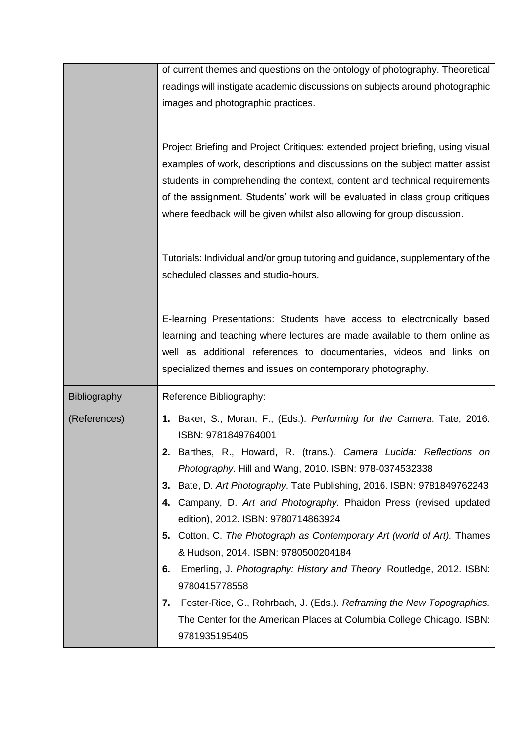|                     | of current themes and questions on the ontology of photography. Theoretical            |  |  |
|---------------------|----------------------------------------------------------------------------------------|--|--|
|                     | readings will instigate academic discussions on subjects around photographic           |  |  |
|                     | images and photographic practices.                                                     |  |  |
|                     |                                                                                        |  |  |
|                     |                                                                                        |  |  |
|                     | Project Briefing and Project Critiques: extended project briefing, using visual        |  |  |
|                     | examples of work, descriptions and discussions on the subject matter assist            |  |  |
|                     | students in comprehending the context, content and technical requirements              |  |  |
|                     | of the assignment. Students' work will be evaluated in class group critiques           |  |  |
|                     | where feedback will be given whilst also allowing for group discussion.                |  |  |
|                     |                                                                                        |  |  |
|                     |                                                                                        |  |  |
|                     | Tutorials: Individual and/or group tutoring and guidance, supplementary of the         |  |  |
|                     | scheduled classes and studio-hours.                                                    |  |  |
|                     |                                                                                        |  |  |
|                     | E-learning Presentations: Students have access to electronically based                 |  |  |
|                     | learning and teaching where lectures are made available to them online as              |  |  |
|                     | well as additional references to documentaries, videos and links on                    |  |  |
|                     | specialized themes and issues on contemporary photography.                             |  |  |
|                     |                                                                                        |  |  |
| <b>Bibliography</b> | Reference Bibliography:                                                                |  |  |
| (References)        | 1. Baker, S., Moran, F., (Eds.). Performing for the Camera. Tate, 2016.                |  |  |
|                     | ISBN: 9781849764001                                                                    |  |  |
|                     | Barthes, R., Howard, R. (trans.). Camera Lucida: Reflections on                        |  |  |
|                     | Photography. Hill and Wang, 2010. ISBN: 978-0374532338                                 |  |  |
|                     | 3. Bate, D. Art Photography. Tate Publishing, 2016. ISBN: 9781849762243                |  |  |
|                     | Campany, D. Art and Photography. Phaidon Press (revised updated<br>4.                  |  |  |
|                     | edition), 2012. ISBN: 9780714863924                                                    |  |  |
|                     | 5. Cotton, C. The Photograph as Contemporary Art (world of Art). Thames                |  |  |
|                     | & Hudson, 2014. ISBN: 9780500204184                                                    |  |  |
|                     | Emerling, J. Photography: History and Theory. Routledge, 2012. ISBN:<br>6.             |  |  |
|                     |                                                                                        |  |  |
|                     | 9780415778558                                                                          |  |  |
|                     | Foster-Rice, G., Rohrbach, J. (Eds.). Reframing the New Topographics.<br>7.            |  |  |
|                     |                                                                                        |  |  |
|                     | The Center for the American Places at Columbia College Chicago. ISBN:<br>9781935195405 |  |  |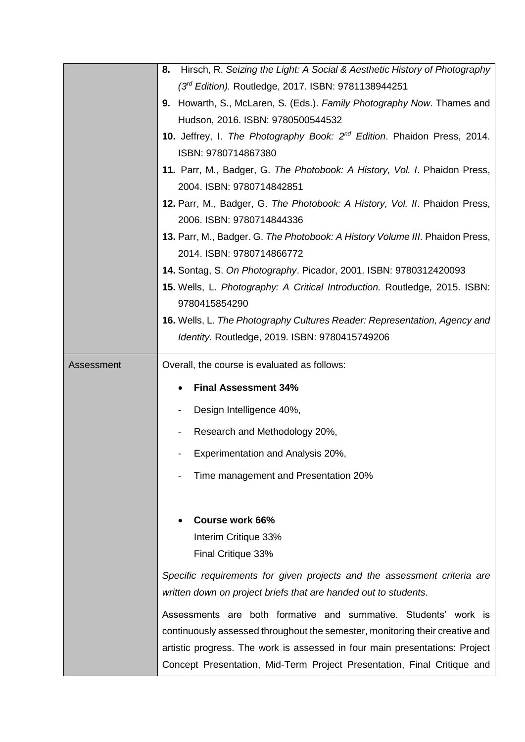|            | Hirsch, R. Seizing the Light: A Social & Aesthetic History of Photography<br>8.     |  |  |
|------------|-------------------------------------------------------------------------------------|--|--|
|            | $(3rd Edition)$ . Routledge, 2017. ISBN: 9781138944251                              |  |  |
|            | 9. Howarth, S., McLaren, S. (Eds.). Family Photography Now. Thames and              |  |  |
|            | Hudson, 2016. ISBN: 9780500544532                                                   |  |  |
|            | 10. Jeffrey, I. The Photography Book: 2 <sup>nd</sup> Edition. Phaidon Press, 2014. |  |  |
|            | ISBN: 9780714867380                                                                 |  |  |
|            | 11. Parr, M., Badger, G. The Photobook: A History, Vol. I. Phaidon Press,           |  |  |
|            | 2004. ISBN: 9780714842851                                                           |  |  |
|            | 12. Parr, M., Badger, G. The Photobook: A History, Vol. II. Phaidon Press,          |  |  |
|            | 2006. ISBN: 9780714844336                                                           |  |  |
|            | 13. Parr, M., Badger. G. The Photobook: A History Volume III. Phaidon Press,        |  |  |
|            | 2014. ISBN: 9780714866772                                                           |  |  |
|            | 14. Sontag, S. On Photography. Picador, 2001. ISBN: 9780312420093                   |  |  |
|            | 15. Wells, L. Photography: A Critical Introduction. Routledge, 2015. ISBN:          |  |  |
|            | 9780415854290                                                                       |  |  |
|            | 16. Wells, L. The Photography Cultures Reader: Representation, Agency and           |  |  |
|            | Identity. Routledge, 2019. ISBN: 9780415749206                                      |  |  |
| Assessment | Overall, the course is evaluated as follows:                                        |  |  |
|            |                                                                                     |  |  |
|            | <b>Final Assessment 34%</b>                                                         |  |  |
|            | Design Intelligence 40%,                                                            |  |  |
|            | Research and Methodology 20%,                                                       |  |  |
|            | Experimentation and Analysis 20%,                                                   |  |  |
|            | Time management and Presentation 20%                                                |  |  |
|            |                                                                                     |  |  |
|            | <b>Course work 66%</b>                                                              |  |  |
|            | Interim Critique 33%                                                                |  |  |
|            | Final Critique 33%                                                                  |  |  |
|            |                                                                                     |  |  |
|            | Specific requirements for given projects and the assessment criteria are            |  |  |
|            | written down on project briefs that are handed out to students.                     |  |  |
|            | Assessments are both formative and summative. Students' work is                     |  |  |
|            |                                                                                     |  |  |
|            | continuously assessed throughout the semester, monitoring their creative and        |  |  |
|            | artistic progress. The work is assessed in four main presentations: Project         |  |  |